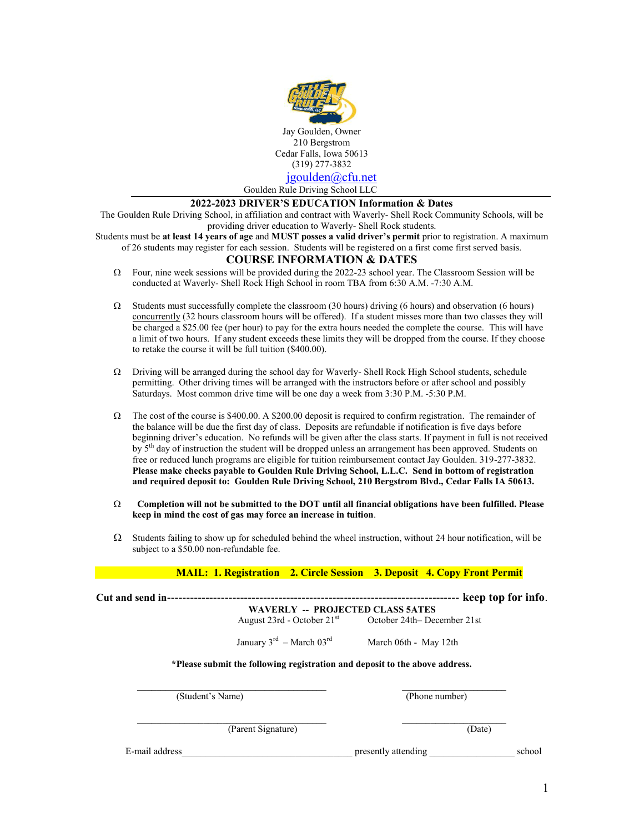

## **2022-2023 DRIVER'S EDUCATION Information & Dates**

The Goulden Rule Driving School, in affiliation and contract with Waverly- Shell Rock Community Schools, will be providing driver education to Waverly- Shell Rock students.

Students must be **at least 14 years of age** and **MUST posses a valid driver's permit** prior to registration. A maximum of 26 students may register for each session. Students will be registered on a first come first served basis.

## **COURSE INFORMATION & DATES**

- $\Omega$  Four, nine week sessions will be provided during the 2022-23 school year. The Classroom Session will be conducted at Waverly- Shell Rock High School in room TBA from 6:30 A.M. -7:30 A.M.
- $\Omega$  Students must successfully complete the classroom (30 hours) driving (6 hours) and observation (6 hours) concurrently (32 hours classroom hours will be offered). If a student misses more than two classes they will be charged a \$25.00 fee (per hour) to pay for the extra hours needed the complete the course. This will have a limit of two hours. If any student exceeds these limits they will be dropped from the course. If they choose to retake the course it will be full tuition (\$400.00).
- $\Omega$  Driving will be arranged during the school day for Waverly- Shell Rock High School students, schedule permitting. Other driving times will be arranged with the instructors before or after school and possibly Saturdays. Most common drive time will be one day a week from 3:30 P.M. -5:30 P.M.
- $\Omega$  The cost of the course is \$400.00. A \$200.00 deposit is required to confirm registration. The remainder of the balance will be due the first day of class. Deposits are refundable if notification is five days before beginning driver's education. No refunds will be given after the class starts. If payment in full is not received by 5<sup>th</sup> day of instruction the student will be dropped unless an arrangement has been approved. Students on free or reduced lunch programs are eligible for tuition reimbursement contact Jay Goulden. 319-277-3832. **Please make checks payable to Goulden Rule Driving School, L.L.C. Send in bottom of registration and required deposit to: Goulden Rule Driving School, 210 Bergstrom Blvd., Cedar Falls IA 50613.**
- **Completion will not be submitted to the DOT until all financial obligations have been fulfilled. Please keep in mind the cost of gas may force an increase in tuition**.
- $\Omega$  Students failing to show up for scheduled behind the wheel instruction, without 24 hour notification, will be subject to a \$50.00 non-refundable fee.

 **MAIL: 1. Registration 2. Circle Session 3. Deposit 4. Copy Front Permit**

| Cut and send in- |                                                                             |                             | keep top for info. |
|------------------|-----------------------------------------------------------------------------|-----------------------------|--------------------|
|                  | <b>WAVERLY -- PROJECTED CLASS 5ATES</b>                                     |                             |                    |
|                  | August 23rd - October $21st$                                                | October 24th– December 21st |                    |
|                  | January $3^{rd}$ – March $03^{rd}$                                          | March 06th - May 12th       |                    |
|                  | *Please submit the following registration and deposit to the above address. |                             |                    |
| (Student's Name) |                                                                             | (Phone number)              |                    |
|                  | (Parent Signature)                                                          | (Date)                      |                    |
| E-mail address   |                                                                             | presently attending         | school             |